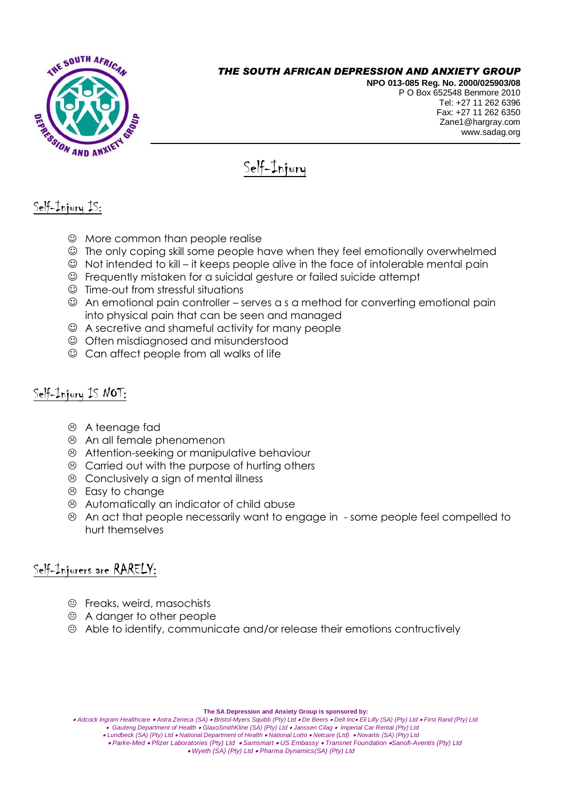

#### *THE SOUTH AFRICAN DEPRESSION AND ANXIETY GROUP*

**NPO 013-085 Reg. No. 2000/025903/08** P O Box 652548 Benmore 2010 Tel: +27 11 262 6396 Fax: +27 11 262 6350 Zane1@hargray.com [www.sadag.org](http://www.anxiety.org.za/)

# Self-Injury

# Self-Injury IS:

- $\odot$  More common than people realise
- The only coping skill some people have when they feel emotionally overwhelmed
- $\odot$  Not intended to kill it keeps people alive in the face of intolerable mental pain
- Frequently mistaken for a suicidal gesture or failed suicide attempt
- $\odot$  Time-out from stressful situations
- An emotional pain controller serves a s a method for converting emotional pain into physical pain that can be seen and managed
- A secretive and shameful activity for many people
- Often misdiagnosed and misunderstood
- $\odot$  Can affect people from all walks of life

## Self-Injury IS NOT:

- A teenage fad
- An all female phenomenon
- Attention-seeking or manipulative behaviour
- Carried out with the purpose of hurting others
- Conclusively a sign of mental illness
- <sup>®</sup> Easy to change
- Automatically an indicator of child abuse
- An act that people necessarily want to engage in some people feel compelled to hurt themselves

# Self-Injurers are RARELY:

- Freaks, weird, masochists
- $\odot$  A danger to other people
- Able to identify, communicate and/or release their emotions contructively

**The SA Depression and Anxiety Group is sponsored by:**

 *Lundbeck (SA) (Pty) Ltd National Department of Health National Lotto Netcare (Ltd) Novartis (SA) (Pty) Ltd*

*Adcock Ingram Healthcare Astra Zeneca (SA) Bristol-Myers Squibb (Pty) Ltd De Beers Dell Inc Eli Lilly (SA) (Pty) Ltd First Rand (Pty) Ltd Gauteng Department of Health GlaxoSmithKline (SA) (Pty) Ltd Janssen Cilag Imperial Car Rental (Pty) Ltd*

 *Parke-Med Pfizer Laboratories (Pty) Ltd Samsmart US Embassy Transnet Foundation Sanofi-Aventis (Pty) Ltd*

 *Wyeth (SA) (Pty) Ltd Pharma Dynamics(SA) (Pty) Ltd*